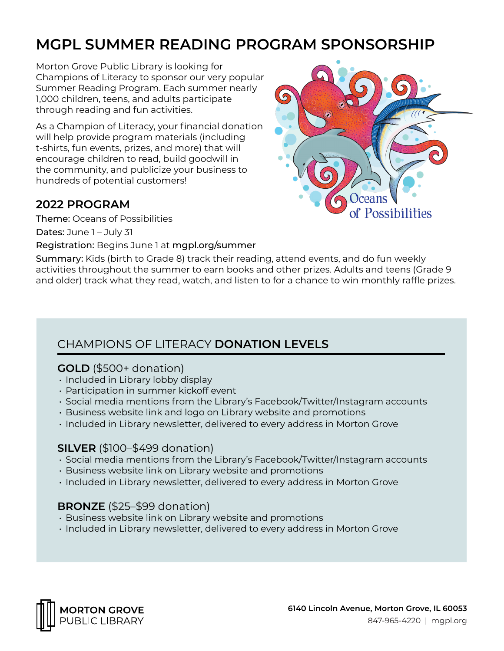# **MGPL SUMMER READING PROGRAM SPONSORSHIP**

Morton Grove Public Library is looking for Champions of Literacy to sponsor our very popular Summer Reading Program. Each summer nearly 1,000 children, teens, and adults participate through reading and fun activities.

As a Champion of Literacy, your financial donation will help provide program materials (including t-shirts, fun events, prizes, and more) that will encourage children to read, build goodwill in the community, and publicize your business to hundreds of potential customers!

### **2022 PROGRAM**

Theme: Oceans of Possibilities

Dates: June 1 – July 31

Registration: Begins June 1 at mgpl.org/summer



Summary: Kids (birth to Grade 8) track their reading, attend events, and do fun weekly activities throughout the summer to earn books and other prizes. Adults and teens (Grade 9 and older) track what they read, watch, and listen to for a chance to win monthly raffle prizes.

## CHAMPIONS OF LITERACY **DONATION LEVELS**

#### **GOLD** (\$500+ donation)

- Included in Library lobby display
- Participation in summer kickoff event
- Social media mentions from the Library's Facebook/Twitter/Instagram accounts
- Business website link and logo on Library website and promotions
- Included in Library newsletter, delivered to every address in Morton Grove

#### **SILVER** (\$100–\$499 donation)

- Social media mentions from the Library's Facebook/Twitter/Instagram accounts
- Business website link on Library website and promotions
- Included in Library newsletter, delivered to every address in Morton Grove

#### **BRONZE** (\$25–\$99 donation)

- Business website link on Library website and promotions
- Included in Library newsletter, delivered to every address in Morton Grove